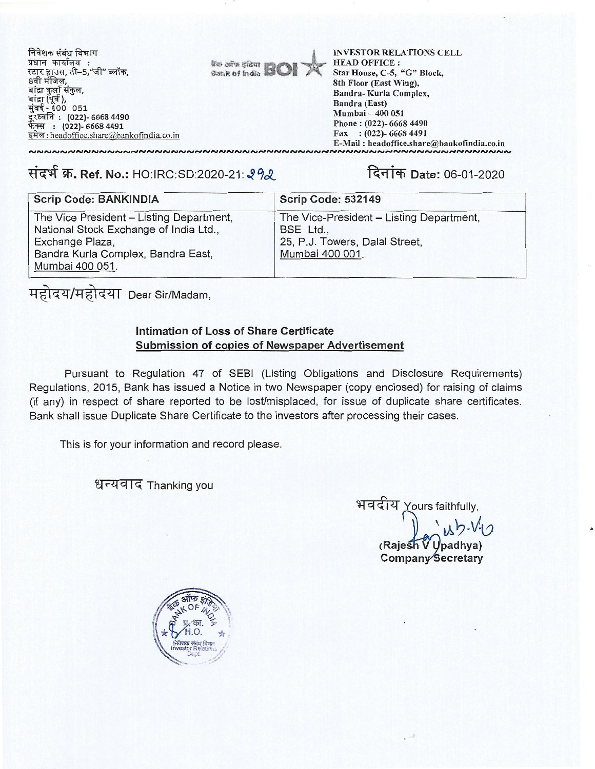

निवेशक संबंध विभाग .<br>प्रधान कार्यालय :<br>स्टार हाउस, सी–5,"जी" ब्लॉक, 8वी मंजिल, बांद्रा कुर्ला संकुल, बांद्रा (पूर्व ),<br>मुंबई - 400 051 दूरध्वनि : (022) 6668 4490 फेंक्स : (022)- 6668 4491 <u>इमेल: headoffice.share@bankofindia.co.in</u>

**INVESTOR RELATIONS CELL HEAD OFFICE:** Star House, C-5, "G" Block, 8th Floor (East Wing), Bandra-Kurla Complex, Bandra (East) Mumbai - 400 051 Phone: (022)-6668 4490 Fax:  $(022)$ -6668 4491 E-Mail: headoffice.share@bankofindia.co.in 

## संदर्भ क्र. Ref. No.: HO:IRC:SD:2020-21: 292

दिनांक Date: 06-01-2020

| <b>Scrip Code: BANKINDIA</b>                                                                                                                                   | <b>Scrip Code: 532149</b>                                                                                  |
|----------------------------------------------------------------------------------------------------------------------------------------------------------------|------------------------------------------------------------------------------------------------------------|
| The Vice President - Listing Department,<br>National Stock Exchange of India Ltd.,<br>Exchange Plaza,<br>Bandra Kurla Complex, Bandra East,<br>Mumbai 400 051. | The Vice-President - Listing Department,<br>BSE Ltd.,<br>25, P.J. Towers, Dalal Street,<br>Mumbai 400 001. |

महोदय/महोदया Dear Sir/Madam,

## Intimation of Loss of Share Certificate Submission of copies of Newspaper Advertisement

Pursuant to Regulation 47 of SEBI (Listing Obligations and Disclosure Requirements) Regulations, 2015, Bank has issued a Notice in two Newspaper (copy enclosed) for raising of claims (if any) in respect of share reported to be lost/misplaced, for issue of duplicate share certificates. Bank shall issue Duplicate Share Certificate to the investors after processing their cases.

This is for your information and record please.

धन्यवाद Thanking you

भवदीय Yours faithfully, (Rajesh V Upadhva) Company Secretary